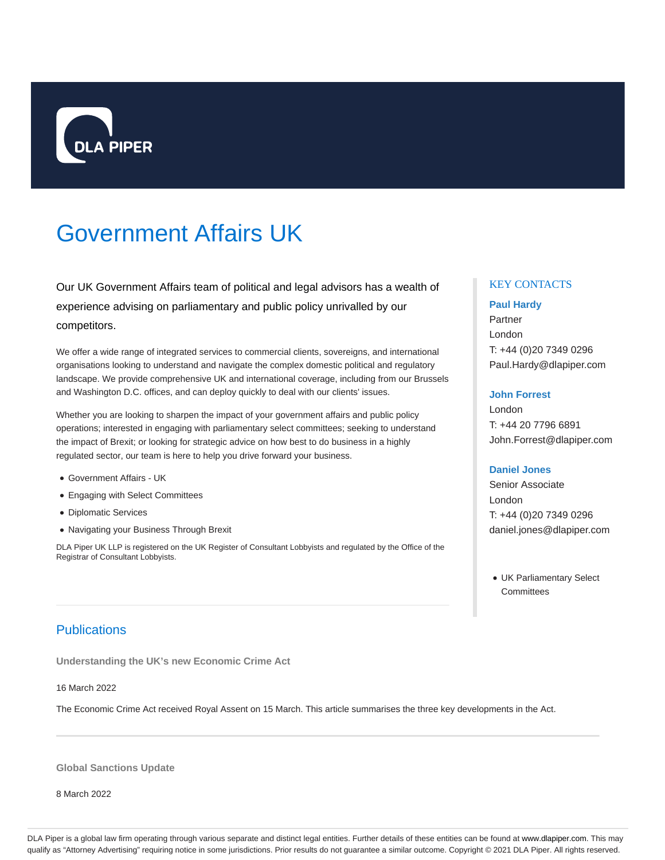

# Government Affairs UK

Our UK Government Affairs team of political and legal advisors has a wealth of experience advising on parliamentary and public policy unrivalled by our competitors.

We offer a wide range of integrated services to commercial clients, sovereigns, and international organisations looking to understand and navigate the complex domestic political and regulatory landscape. We provide comprehensive UK and international coverage, including from our Brussels and Washington D.C. offices, and can deploy quickly to deal with our clients' issues.

Whether you are looking to sharpen the impact of your government affairs and public policy operations; interested in engaging with parliamentary select committees; seeking to understand the impact of Brexit; or looking for strategic advice on how best to do business in a highly regulated sector, our team is here to help you drive forward your business.

- Government Affairs UK
- Engaging with Select Committees
- Diplomatic Services
- Navigating your Business Through Brexit

DLA Piper UK LLP is registered on the UK Register of Consultant Lobbyists and regulated by the Office of the Registrar of Consultant Lobbyists.

## Publications

**Understanding the UK's new Economic Crime Act**

16 March 2022

The Economic Crime Act received Royal Assent on 15 March. This article summarises the three key developments in the Act.

**Global Sanctions Update**

8 March 2022

## KEY CONTACTS

#### **Paul Hardy**

Partner London T: +44 (0)20 7349 0296 Paul.Hardy@dlapiper.com

#### **John Forrest**

London T: +44 20 7796 6891 John.Forrest@dlapiper.com

#### **Daniel Jones**

Senior Associate London T: +44 (0)20 7349 0296 daniel.jones@dlapiper.com

UK Parliamentary Select **Committees** 

DLA Piper is a global law firm operating through various separate and distinct legal entities. Further details of these entities can be found at www.dlapiper.com. This may qualify as "Attorney Advertising" requiring notice in some jurisdictions. Prior results do not guarantee a similar outcome. Copyright @ 2021 DLA Piper. All rights reserved.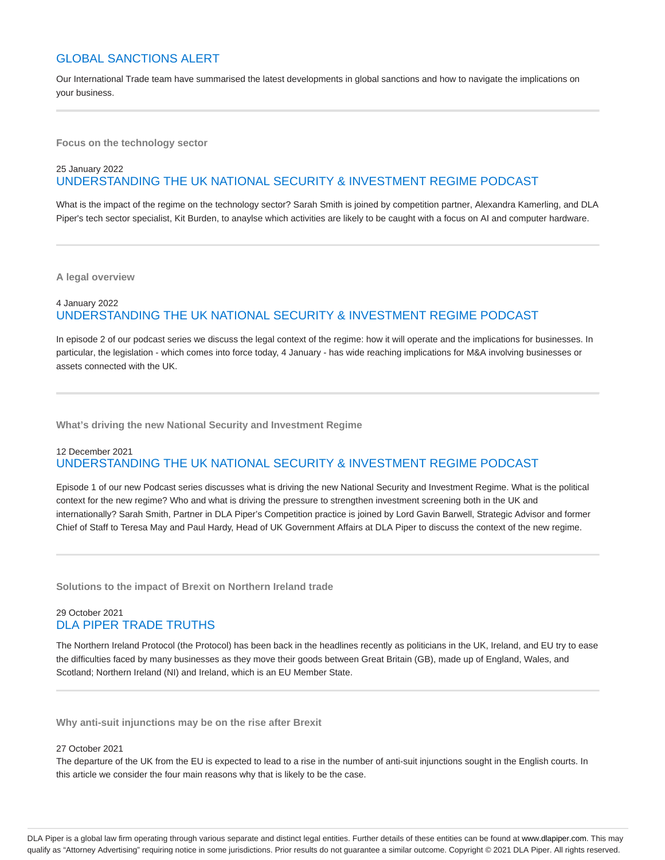## GLOBAL SANCTIONS ALERT

Our International Trade team have summarised the latest developments in global sanctions and how to navigate the implications on your business.

**Focus on the technology sector**

## 25 January 2022 UNDERSTANDING THE UK NATIONAL SECURITY & INVESTMENT REGIME PODCAST

What is the impact of the regime on the technology sector? Sarah Smith is joined by competition partner, Alexandra Kamerling, and DLA Piper's tech sector specialist, Kit Burden, to anaylse which activities are likely to be caught with a focus on AI and computer hardware.

**A legal overview**

## 4 January 2022 UNDERSTANDING THE UK NATIONAL SECURITY & INVESTMENT REGIME PODCAST

In episode 2 of our podcast series we discuss the legal context of the regime: how it will operate and the implications for businesses. In particular, the legislation - which comes into force today, 4 January - has wide reaching implications for M&A involving businesses or assets connected with the UK.

**What's driving the new National Security and Investment Regime**

## 12 December 2021 UNDERSTANDING THE UK NATIONAL SECURITY & INVESTMENT REGIME PODCAST

Episode 1 of our new Podcast series discusses what is driving the new National Security and Investment Regime. What is the political context for the new regime? Who and what is driving the pressure to strengthen investment screening both in the UK and internationally? Sarah Smith, Partner in DLA Piper's Competition practice is joined by Lord Gavin Barwell, Strategic Advisor and former Chief of Staff to Teresa May and Paul Hardy, Head of UK Government Affairs at DLA Piper to discuss the context of the new regime.

**Solutions to the impact of Brexit on Northern Ireland trade**

## 29 October 2021 DLA PIPER TRADE TRUTHS

The Northern Ireland Protocol (the Protocol) has been back in the headlines recently as politicians in the UK, Ireland, and EU try to ease the difficulties faced by many businesses as they move their goods between Great Britain (GB), made up of England, Wales, and Scotland; Northern Ireland (NI) and Ireland, which is an EU Member State.

**Why anti-suit injunctions may be on the rise after Brexit**

#### 27 October 2021

The departure of the UK from the EU is expected to lead to a rise in the number of anti-suit injunctions sought in the English courts. In this article we consider the four main reasons why that is likely to be the case.

DLA Piper is a global law firm operating through various separate and distinct legal entities. Further details of these entities can be found at www.dlapiper.com. This may qualify as "Attorney Advertising" requiring notice in some jurisdictions. Prior results do not guarantee a similar outcome. Copyright © 2021 DLA Piper. All rights reserved.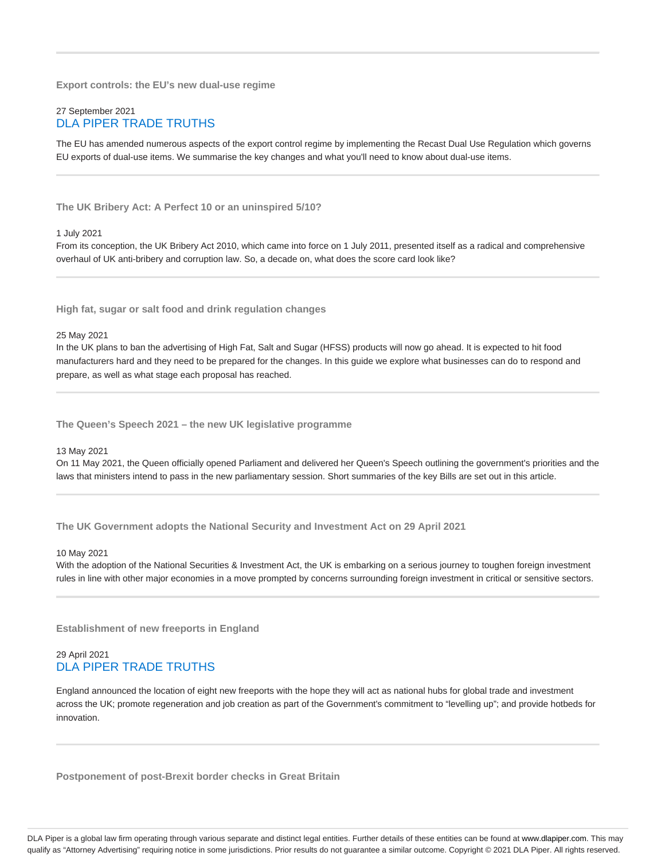**Export controls: the EU's new dual-use regime**

## 27 September 2021 DLA PIPER TRADE TRUTHS

The EU has amended numerous aspects of the export control regime by implementing the Recast Dual Use Regulation which governs EU exports of dual-use items. We summarise the key changes and what you'll need to know about dual-use items.

**The UK Bribery Act: A Perfect 10 or an uninspired 5/10?**

1 July 2021

From its conception, the UK Bribery Act 2010, which came into force on 1 July 2011, presented itself as a radical and comprehensive overhaul of UK anti-bribery and corruption law. So, a decade on, what does the score card look like?

**High fat, sugar or salt food and drink regulation changes**

#### 25 May 2021

In the UK plans to ban the advertising of High Fat, Salt and Sugar (HFSS) products will now go ahead. It is expected to hit food manufacturers hard and they need to be prepared for the changes. In this guide we explore what businesses can do to respond and prepare, as well as what stage each proposal has reached.

**The Queen's Speech 2021 – the new UK legislative programme**

#### 13 May 2021

On 11 May 2021, the Queen officially opened Parliament and delivered her Queen's Speech outlining the government's priorities and the laws that ministers intend to pass in the new parliamentary session. Short summaries of the key Bills are set out in this article.

**The UK Government adopts the National Security and Investment Act on 29 April 2021**

#### 10 May 2021

With the adoption of the National Securities & Investment Act, the UK is embarking on a serious journey to toughen foreign investment rules in line with other major economies in a move prompted by concerns surrounding foreign investment in critical or sensitive sectors.

**Establishment of new freeports in England**

## 29 April 2021 DLA PIPER TRADE TRUTHS

England announced the location of eight new freeports with the hope they will act as national hubs for global trade and investment across the UK; promote regeneration and job creation as part of the Government's commitment to "levelling up"; and provide hotbeds for innovation.

**Postponement of post-Brexit border checks in Great Britain**

DLA Piper is a global law firm operating through various separate and distinct legal entities. Further details of these entities can be found at www.dlapiper.com. This may qualify as "Attorney Advertising" requiring notice in some jurisdictions. Prior results do not guarantee a similar outcome. Copyright @ 2021 DLA Piper. All rights reserved.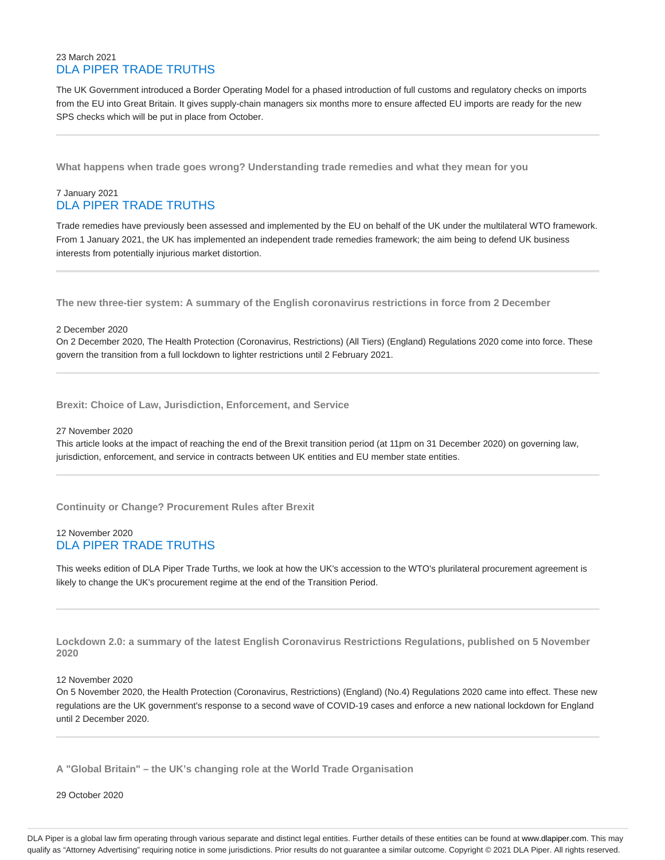## 23 March 2021 DLA PIPER TRADE TRUTHS

The UK Government introduced a Border Operating Model for a phased introduction of full customs and regulatory checks on imports from the EU into Great Britain. It gives supply-chain managers six months more to ensure affected EU imports are ready for the new SPS checks which will be put in place from October.

**What happens when trade goes wrong? Understanding trade remedies and what they mean for you**

## 7 January 2021 DLA PIPER TRADE TRUTHS

Trade remedies have previously been assessed and implemented by the EU on behalf of the UK under the multilateral WTO framework. From 1 January 2021, the UK has implemented an independent trade remedies framework; the aim being to defend UK business interests from potentially injurious market distortion.

**The new three-tier system: A summary of the English coronavirus restrictions in force from 2 December**

#### 2 December 2020

On 2 December 2020, The Health Protection (Coronavirus, Restrictions) (All Tiers) (England) Regulations 2020 come into force. These govern the transition from a full lockdown to lighter restrictions until 2 February 2021.

**Brexit: Choice of Law, Jurisdiction, Enforcement, and Service**

#### 27 November 2020

This article looks at the impact of reaching the end of the Brexit transition period (at 11pm on 31 December 2020) on governing law, jurisdiction, enforcement, and service in contracts between UK entities and EU member state entities.

**Continuity or Change? Procurement Rules after Brexit**

## 12 November 2020 DLA PIPER TRADE TRUTHS

This weeks edition of DLA Piper Trade Turths, we look at how the UK's accession to the WTO's plurilateral procurement agreement is likely to change the UK's procurement regime at the end of the Transition Period.

**Lockdown 2.0: a summary of the latest English Coronavirus Restrictions Regulations, published on 5 November 2020**

#### 12 November 2020

On 5 November 2020, the Health Protection (Coronavirus, Restrictions) (England) (No.4) Regulations 2020 came into effect. These new regulations are the UK government's response to a second wave of COVID-19 cases and enforce a new national lockdown for England until 2 December 2020.

**A "Global Britain" – the UK's changing role at the World Trade Organisation**

29 October 2020

DLA Piper is a global law firm operating through various separate and distinct legal entities. Further details of these entities can be found at www.dlapiper.com. This may qualify as "Attorney Advertising" requiring notice in some jurisdictions. Prior results do not guarantee a similar outcome. Copyright @ 2021 DLA Piper. All rights reserved.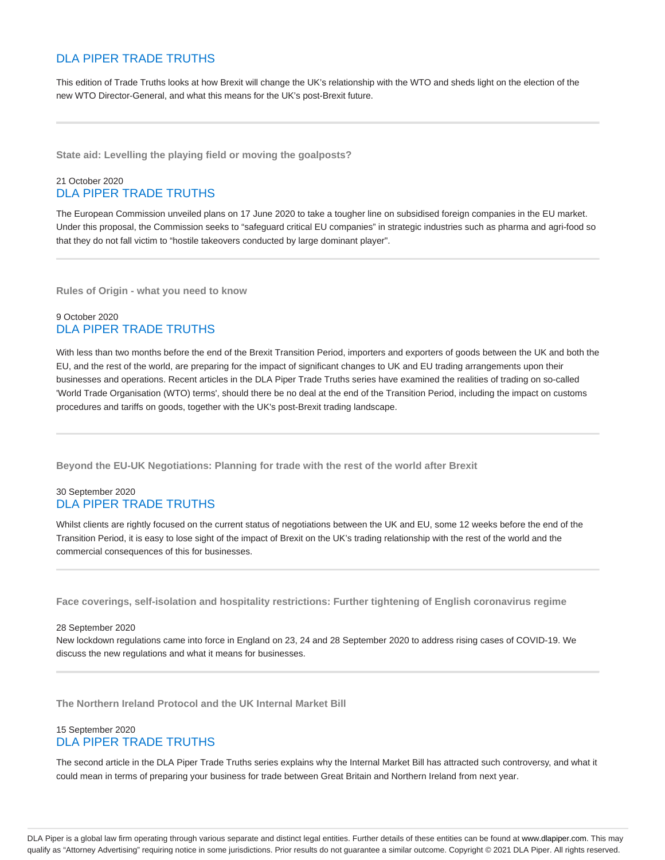## DLA PIPER TRADE TRUTHS

This edition of Trade Truths looks at how Brexit will change the UK's relationship with the WTO and sheds light on the election of the new WTO Director-General, and what this means for the UK's post-Brexit future.

**State aid: Levelling the playing field or moving the goalposts?**

## 21 October 2020 DLA PIPER TRADE TRUTHS

The European Commission unveiled plans on 17 June 2020 to take a tougher line on subsidised foreign companies in the EU market. Under this proposal, the Commission seeks to "safeguard critical EU companies" in strategic industries such as pharma and agri-food so that they do not fall victim to "hostile takeovers conducted by large dominant player".

**Rules of Origin - what you need to know**

## 9 October 2020 DLA PIPER TRADE TRUTHS

With less than two months before the end of the Brexit Transition Period, importers and exporters of goods between the UK and both the EU, and the rest of the world, are preparing for the impact of significant changes to UK and EU trading arrangements upon their businesses and operations. Recent articles in the DLA Piper Trade Truths series have examined the realities of trading on so-called 'World Trade Organisation (WTO) terms', should there be no deal at the end of the Transition Period, including the impact on customs procedures and tariffs on goods, together with the UK's post-Brexit trading landscape.

**Beyond the EU-UK Negotiations: Planning for trade with the rest of the world after Brexit**

## 30 September 2020 DLA PIPER TRADE TRUTHS

Whilst clients are rightly focused on the current status of negotiations between the UK and EU, some 12 weeks before the end of the Transition Period, it is easy to lose sight of the impact of Brexit on the UK's trading relationship with the rest of the world and the commercial consequences of this for businesses.

**Face coverings, self-isolation and hospitality restrictions: Further tightening of English coronavirus regime**

#### 28 September 2020

New lockdown regulations came into force in England on 23, 24 and 28 September 2020 to address rising cases of COVID-19. We discuss the new regulations and what it means for businesses.

**The Northern Ireland Protocol and the UK Internal Market Bill**

## 15 September 2020 DLA PIPER TRADE TRUTHS

The second article in the DLA Piper Trade Truths series explains why the Internal Market Bill has attracted such controversy, and what it could mean in terms of preparing your business for trade between Great Britain and Northern Ireland from next year.